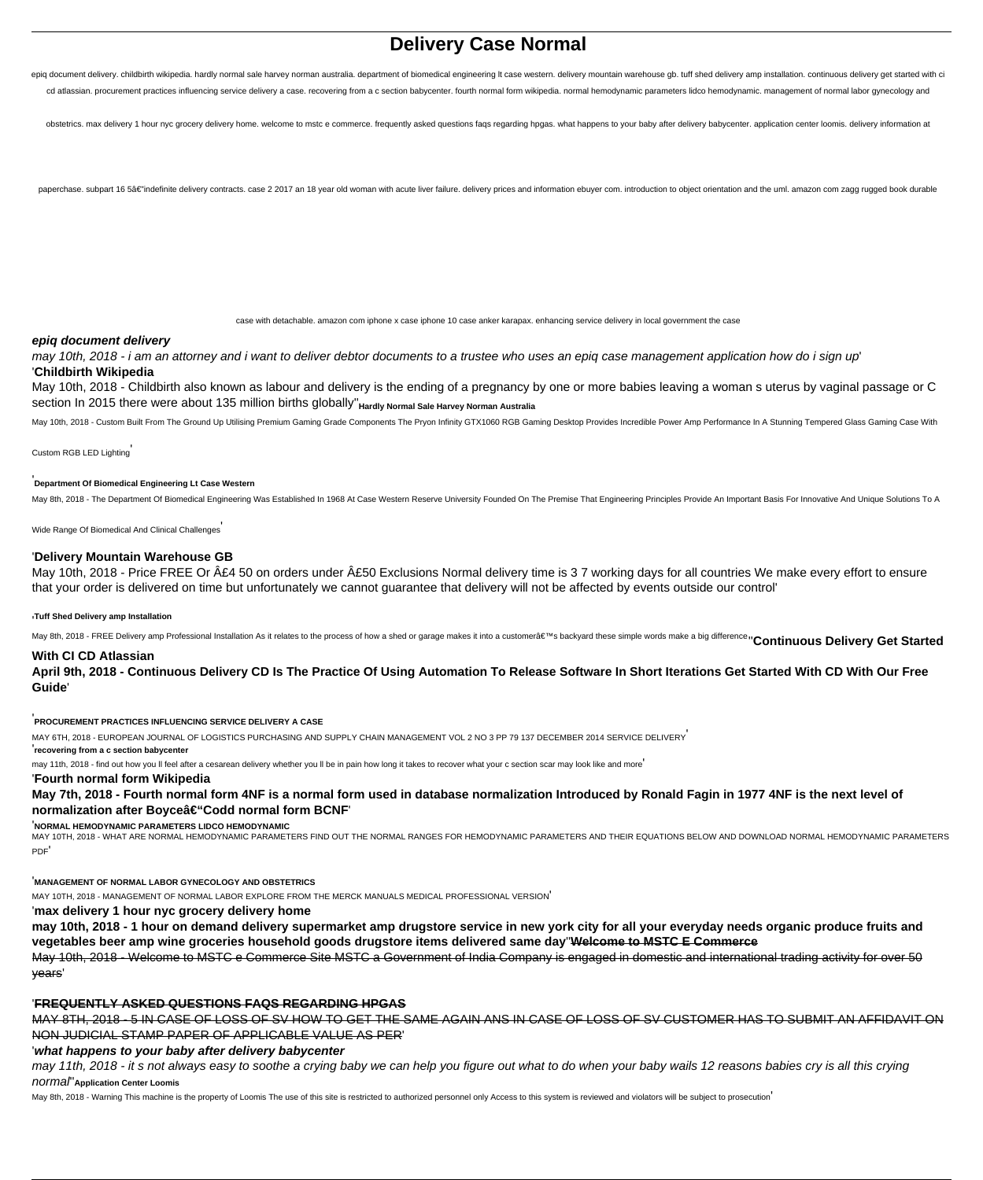# **Delivery Case Normal**

epig document delivery, childbirth wikipedia, hardly normal sale harvey norman australia, department of biomedical engineering It case western, delivery mountain warehouse gb. tuff shed delivery amp installation, continuou cd atlassian. procurement practices influencing service delivery a case. recovering from a c section babycenter. fourth normal form wikipedia. normal hemodynamic parameters lidco hemodynamic. management of normal labor gyn

obstetrics, max delivery 1 hour nyc grocery delivery home, welcome to mstc e commerce, frequently asked questions fags regarding hogas, what happens to your baby after delivery babycenter, application center loomis, delive

paperchase. subpart 16 5â€"indefinite delivery contracts. case 2 2017 an 18 year old woman with acute liver failure. delivery prices and information ebuyer com. introduction to object orientation and the uml. amazon com z

case with detachable. amazon com iphone x case iphone 10 case anker karapax. enhancing service delivery in local government the case

#### **epiq document delivery**

may 10th, 2018 - i am an attorney and i want to deliver debtor documents to a trustee who uses an epiq case management application how do i sign up' '**Childbirth Wikipedia**

May 10th, 2018 - Childbirth also known as labour and delivery is the ending of a pregnancy by one or more babies leaving a woman s uterus by vaginal passage or C section In 2015 there were about 135 million births globally"<sub>Hardly</sub> Normal Sale Harvey Norman Australia

May 10th, 2018 - Custom Built From The Ground Up Utilising Premium Gaming Grade Components The Pryon Infinity GTX1060 RGB Gaming Desktop Provides Incredible Power Amp Performance In A Stunning Tempered Glass Gaming Case Wi

Custom RGB LED Lighting'

#### '**Department Of Biomedical Engineering Lt Case Western**

May 8th, 2018 - The Department Of Biomedical Engineering Was Established In 1968 At Case Western Reserve University Founded On The Premise That Engineering Principles Provide An Important Basis For Innovative And Unique So

Wide Range Of Biomedical And Clinical Challenges'

#### '**Delivery Mountain Warehouse GB**

May 10th, 2018 - Price FREE Or £4 50 on orders under £50 Exclusions Normal delivery time is 3 7 working days for all countries We make every effort to ensure that your order is delivered on time but unfortunately we cannot guarantee that delivery will not be affected by events outside our control'

#### '**Tuff Shed Delivery amp Installation**

May 8th, 2018 - FREE Delivery amp Professional Installation As it relates to the process of how a shed or garage makes it into a customer's backyard these simple words make a big differencen Continuous Delivery Get Star

#### **With CI CD Atlassian**

**April 9th, 2018 - Continuous Delivery CD Is The Practice Of Using Automation To Release Software In Short Iterations Get Started With CD With Our Free Guide**'

'**PROCUREMENT PRACTICES INFLUENCING SERVICE DELIVERY A CASE**

MAY 6TH, 2018 - EUROPEAN JOURNAL OF LOGISTICS PURCHASING AND SUPPLY CHAIN MANAGEMENT VOL 2 NO 3 PP 79 137 DECEMBER 2014 SERVICE DELIVERY'

## '**recovering from a c section babycenter**

may 11th, 2018 - find out how you ll feel after a cesarean delivery whether you ll be in pain how long it takes to recover what your c section scar may look like and more'

#### '**Fourth normal form Wikipedia**

**May 7th, 2018 - Fourth normal form 4NF is a normal form used in database normalization Introduced by Ronald Fagin in 1977 4NF is the next level of** normalization after Boyceâ€"Codd normal form BCNF

'**NORMAL HEMODYNAMIC PARAMETERS LIDCO HEMODYNAMIC**

MAY 10TH, 2018 - WHAT ARE NORMAL HEMODYNAMIC PARAMETERS FIND OUT THE NORMAL RANGES FOR HEMODYNAMIC PARAMETERS AND THEIR EQUATIONS BELOW AND DOWNLOAD NORMAL HEMODYNAMIC PARAMETERS PDF'

#### '**MANAGEMENT OF NORMAL LABOR GYNECOLOGY AND OBSTETRICS**

MAY 10TH, 2018 - MANAGEMENT OF NORMAL LABOR EXPLORE FROM THE MERCK MANUALS MEDICAL PROFESSIONAL VERSION'

'**max delivery 1 hour nyc grocery delivery home**

**may 10th, 2018 - 1 hour on demand delivery supermarket amp drugstore service in new york city for all your everyday needs organic produce fruits and vegetables beer amp wine groceries household goods drugstore items delivered same day**''**Welcome to MSTC E Commerce**

May 10th, 2018 - Welcome to MSTC e Commerce Site MSTC a Government of India Company is engaged in domestic and international trading activity for over 50 years'

#### '**FREQUENTLY ASKED QUESTIONS FAQS REGARDING HPGAS**

MAY 8TH, 2018 - 5 IN CASE OF LOSS OF SV HOW TO GET THE SAME AGAIN ANS IN CASE OF LOSS OF SV CUSTOMER HAS TO SUBMIT AN AFFIDAVIT ON NON JUDICIAL STAMP PAPER OF APPLICABLE VALUE AS PER'

'**what happens to your baby after delivery babycenter**

may 11th, 2018 - it s not always easy to soothe a crying baby we can help you figure out what to do when your baby wails 12 reasons babies cry is all this crying normal''**Application Center Loomis**

May 8th, 2018 - Warning This machine is the property of Loomis The use of this site is restricted to authorized personnel only Access to this system is reviewed and violators will be subject to prosecution